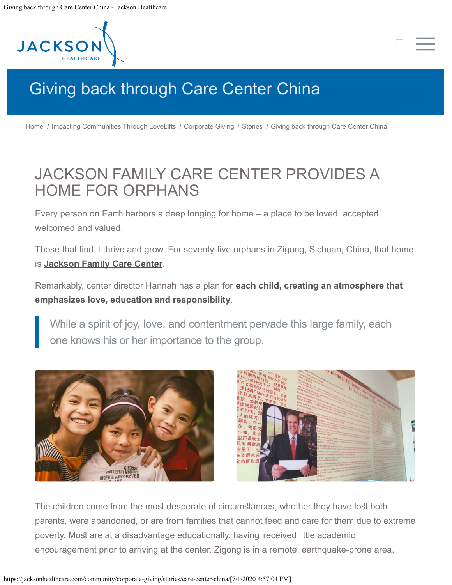<span id="page-0-0"></span>

## [Giving back through Care Center China](#page-0-0)

[Home](https://jacksonhealthcare.com/) / [Impacting Communities Through LoveLifts](https://jacksonhealthcare.com/community/) / [Corporate Giving](https://jacksonhealthcare.com/community/corporate-giving/) / [Stories](https://jacksonhealthcare.com/community/corporate-giving/stories/) / Giving back through Care Center China

## JACKSON FAMILY CARE CENTER PROVIDES A HOME FOR ORPHANS

Every person on Earth harbors a deep longing for home – a place to be loved, accepted, welcomed and valued.

Those that find it thrive and grow. For seventy-five orphans in Zigong, Sichuan, China, that home is **[Jackson Family Care Center](https://jacksonhealthcare.com/give-back/christian-care-center/)**.

Remarkably, center director Hannah has a plan for **each child, creating an atmosphere that emphasizes love, education and responsibility**.

While a spirit of joy, love, and contentment pervade this large family, each one knows his or her importance to the group.





 $\Box$ 

The children come from the most desperate of circumstances, whether they have lost both parents, were abandoned, or are from families that cannot feed and care for them due to extreme poverty. Most are at a disadvantage educationally, having received little academic encouragement prior to arriving at the center. Zigong is in a remote, earthquake-prone area.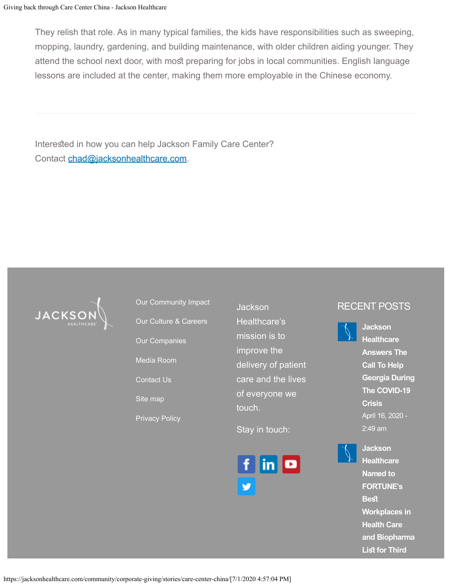They relish that role. As in many typical families, the kids have responsibilities such as sweeping, mopping, laundry, gardening, and building maintenance, with older children aiding younger. They attend the school next door, with most preparing for jobs in local communities. English language lessons are included at the center, making them more employable in the Chinese economy.

Interested in how you can help Jackson Family Care Center? Contact [chad@jacksonhealthcare.com](mailto:chad@jacksonhealthcare.com).



[Our Community Impact](https://jacksonhealthcare.com/community/) [Our Culture & Careers](https://jacksonhealthcare.com/careers/) [Our Companies](https://jacksonhealthcare.com/about/our-companies/) [Media Room](https://jacksonhealthcare.com/media-room/) [Contact Us](https://jacksonhealthcare.com/contact/) [Site map](https://jacksonhealthcare.com/sitemap/) [Privacy Policy](https://jacksonhealthcare.com/privacy-policy/)

Jackson Healthcare's mission is to improve the delivery of patient care and the lives of everyone we touch.

Stay in touch:



## RECENT POSTS



**[Jackson](https://jacksonhealthcare.com/media-room/news/jackson-healthcare-named-to-fortunes-best-workplaces-in-health-care-and-biopharma-list-for-third-year-in-a-row/) [Healthcare](https://jacksonhealthcare.com/media-room/news/jackson-healthcare-named-to-fortunes-best-workplaces-in-health-care-and-biopharma-list-for-third-year-in-a-row/) [Named to](https://jacksonhealthcare.com/media-room/news/jackson-healthcare-named-to-fortunes-best-workplaces-in-health-care-and-biopharma-list-for-third-year-in-a-row/) [FORTUNE's](https://jacksonhealthcare.com/media-room/news/jackson-healthcare-named-to-fortunes-best-workplaces-in-health-care-and-biopharma-list-for-third-year-in-a-row/) [Bes](https://jacksonhealthcare.com/media-room/news/jackson-healthcare-named-to-fortunes-best-workplaces-in-health-care-and-biopharma-list-for-third-year-in-a-row/) [Workplaces in](https://jacksonhealthcare.com/media-room/news/jackson-healthcare-named-to-fortunes-best-workplaces-in-health-care-and-biopharma-list-for-third-year-in-a-row/) [Health Care](https://jacksonhealthcare.com/media-room/news/jackson-healthcare-named-to-fortunes-best-workplaces-in-health-care-and-biopharma-list-for-third-year-in-a-row/) [and Biopharma](https://jacksonhealthcare.com/media-room/news/jackson-healthcare-named-to-fortunes-best-workplaces-in-health-care-and-biopharma-list-for-third-year-in-a-row/) List for Third**